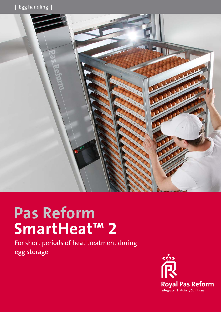

# **Pas Reform SmartHeat™ 2**

For short periods of heat treatment during egg storage